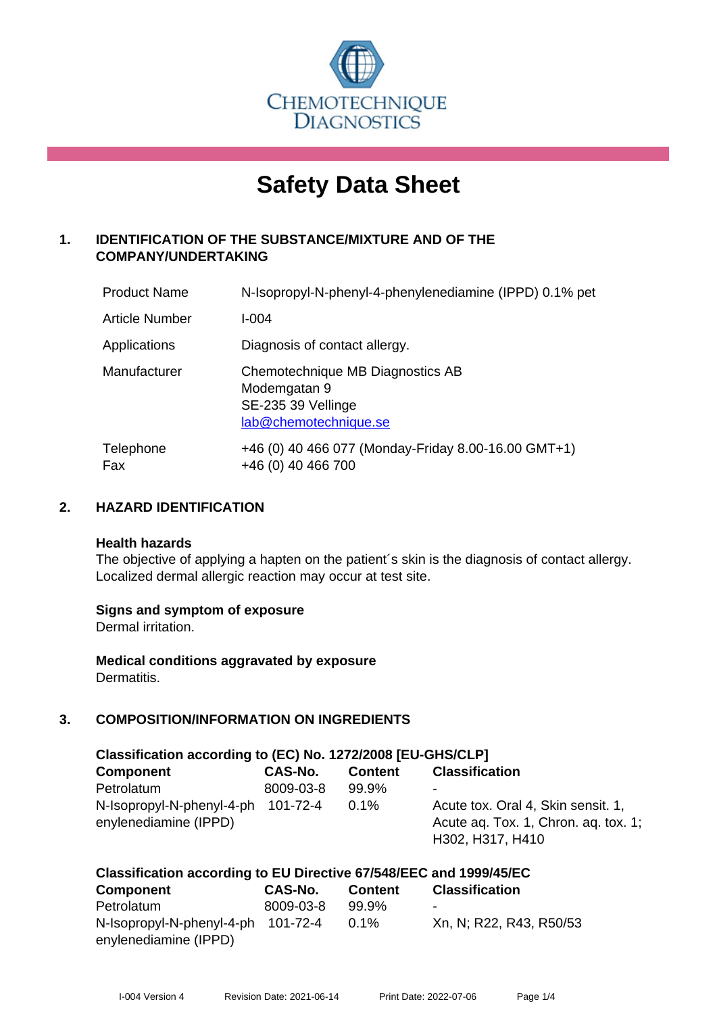

# **Safety Data Sheet**

# **1. IDENTIFICATION OF THE SUBSTANCE/MIXTURE AND OF THE COMPANY/UNDERTAKING**

| <b>Product Name</b>   | N-Isopropyl-N-phenyl-4-phenylenediamine (IPPD) 0.1% pet                                         |
|-----------------------|-------------------------------------------------------------------------------------------------|
| <b>Article Number</b> | I-004                                                                                           |
| Applications          | Diagnosis of contact allergy.                                                                   |
| Manufacturer          | Chemotechnique MB Diagnostics AB<br>Modemgatan 9<br>SE-235 39 Vellinge<br>lab@chemotechnique.se |
| Telephone<br>Fax      | +46 (0) 40 466 077 (Monday-Friday 8.00-16.00 GMT+1)<br>+46 (0) 40 466 700                       |

#### **2. HAZARD IDENTIFICATION**

#### **Health hazards**

The objective of applying a hapten on the patient's skin is the diagnosis of contact allergy. Localized dermal allergic reaction may occur at test site.

#### **Signs and symptom of exposure**

Dermal irritation.

**Medical conditions aggravated by exposure** Dermatitis.

# **3. COMPOSITION/INFORMATION ON INGREDIENTS**

| Classification according to (EC) No. 1272/2008 [EU-GHS/CLP] |           |                |                                                                                                |  |
|-------------------------------------------------------------|-----------|----------------|------------------------------------------------------------------------------------------------|--|
| <b>Component</b>                                            | CAS-No.   | <b>Content</b> | <b>Classification</b>                                                                          |  |
| Petrolatum                                                  | 8009-03-8 | 99.9%          | -                                                                                              |  |
| N-Isopropyl-N-phenyl-4-ph 101-72-4<br>enylenediamine (IPPD) |           | $0.1\%$        | Acute tox. Oral 4, Skin sensit. 1,<br>Acute ag. Tox. 1, Chron. ag. tox. 1;<br>H302, H317, H410 |  |

| Classification according to EU Directive 67/548/EEC and 1999/45/EC |           |                |                          |  |
|--------------------------------------------------------------------|-----------|----------------|--------------------------|--|
| <b>Component</b>                                                   | CAS-No.   | <b>Content</b> | <b>Classification</b>    |  |
| Petrolatum                                                         | 8009-03-8 | 99.9%          | $\overline{\phantom{0}}$ |  |
| N-Isopropyl-N-phenyl-4-ph 101-72-4                                 |           | $0.1\%$        | Xn, N; R22, R43, R50/53  |  |
| enylenediamine (IPPD)                                              |           |                |                          |  |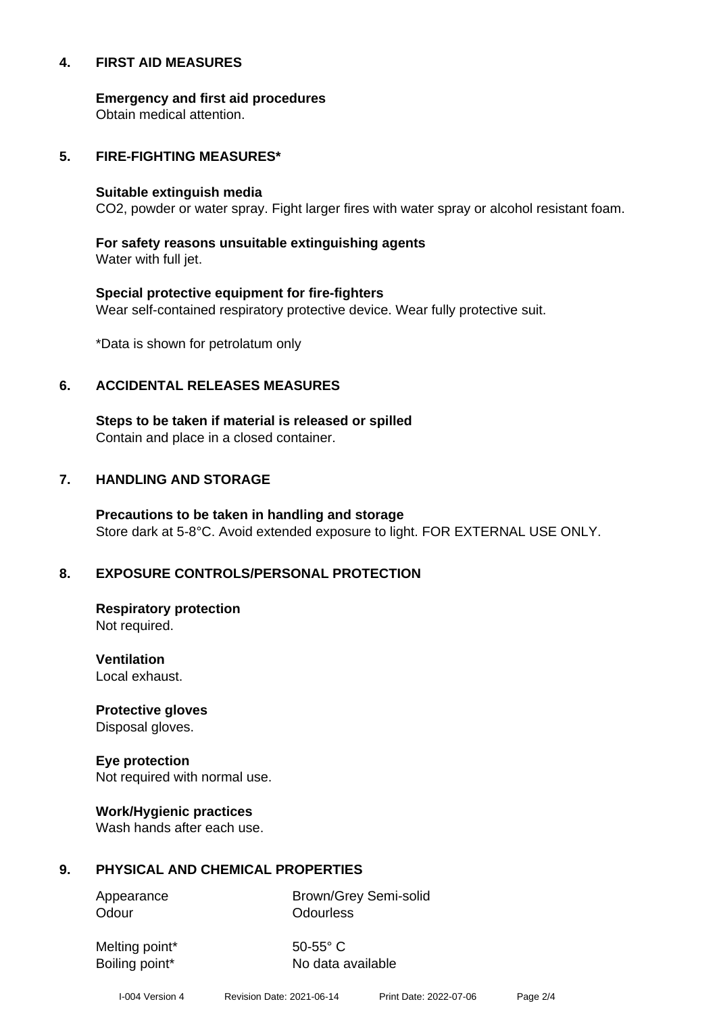#### **4. FIRST AID MEASURES**

**Emergency and first aid procedures**

Obtain medical attention.

#### **5. FIRE-FIGHTING MEASURES\***

#### **Suitable extinguish media**

CO2, powder or water spray. Fight larger fires with water spray or alcohol resistant foam.

# **For safety reasons unsuitable extinguishing agents**

Water with full jet.

# **Special protective equipment for fire-fighters** Wear self-contained respiratory protective device. Wear fully protective suit.

\*Data is shown for petrolatum only

#### **6. ACCIDENTAL RELEASES MEASURES**

**Steps to be taken if material is released or spilled** Contain and place in a closed container.

# **7. HANDLING AND STORAGE**

**Precautions to be taken in handling and storage** Store dark at 5-8°C. Avoid extended exposure to light. FOR EXTERNAL USE ONLY.

# **8. EXPOSURE CONTROLS/PERSONAL PROTECTION**

**Respiratory protection** Not required.

**Ventilation** Local exhaust.

**Protective gloves** Disposal gloves.

# **Eye protection**

Not required with normal use.

#### **Work/Hygienic practices**

Wash hands after each use.

#### **9. PHYSICAL AND CHEMICAL PROPERTIES**

Odour **Odourless** 

Appearance Brown/Grey Semi-solid

Melting point\* 50-55° C

Boiling point\* No data available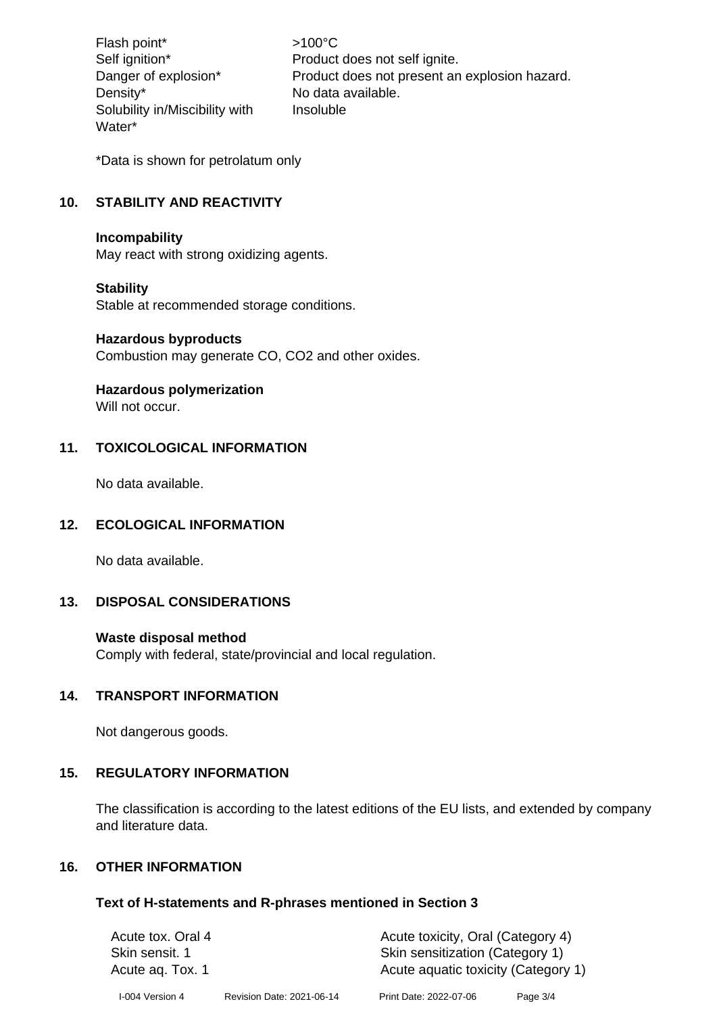Flash point\* >100°C Density\* No data available. Solubility in/Miscibility with Water\*

Self ignition\* Product does not self ignite. Danger of explosion\* Product does not present an explosion hazard. Insoluble

\*Data is shown for petrolatum only

# **10. STABILITY AND REACTIVITY**

#### **Incompability**

May react with strong oxidizing agents.

#### **Stability**

Stable at recommended storage conditions.

#### **Hazardous byproducts**

Combustion may generate CO, CO2 and other oxides.

#### **Hazardous polymerization**

Will not occur.

# **11. TOXICOLOGICAL INFORMATION**

No data available.

#### **12. ECOLOGICAL INFORMATION**

No data available.

#### **13. DISPOSAL CONSIDERATIONS**

#### **Waste disposal method**

Comply with federal, state/provincial and local regulation.

#### **14. TRANSPORT INFORMATION**

Not dangerous goods.

#### **15. REGULATORY INFORMATION**

The classification is according to the latest editions of the EU lists, and extended by company and literature data.

#### **16. OTHER INFORMATION**

#### **Text of H-statements and R-phrases mentioned in Section 3**

| Acute tox. Oral 4<br>Skin sensit, 1<br>Acute ag. Tox. 1 |                           | Acute toxicity, Oral (Category 4)<br>Skin sensitization (Category 1)<br>Acute aquatic toxicity (Category 1) |          |
|---------------------------------------------------------|---------------------------|-------------------------------------------------------------------------------------------------------------|----------|
| I-004 Version 4                                         | Revision Date: 2021-06-14 | Print Date: 2022-07-06                                                                                      | Page 3/4 |